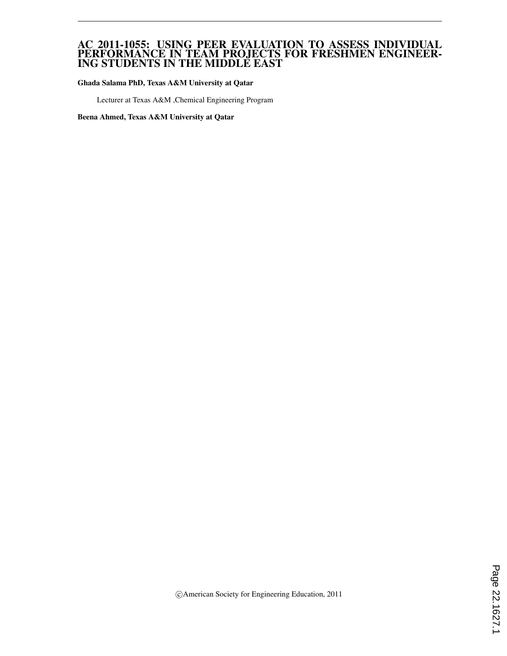#### AC 2011-1055: USING PEER EVALUATION TO ASSESS INDIVIDUAL PERFORMANCE IN TEAM PROJECTS FOR FRESHMEN ENGINEER-ING STUDENTS IN THE MIDDLE EAST

Ghada Salama PhD, Texas A&M University at Qatar

Lecturer at Texas A&M ,Chemical Engineering Program

Beena Ahmed, Texas A&M University at Qatar

c American Society for Engineering Education, 2011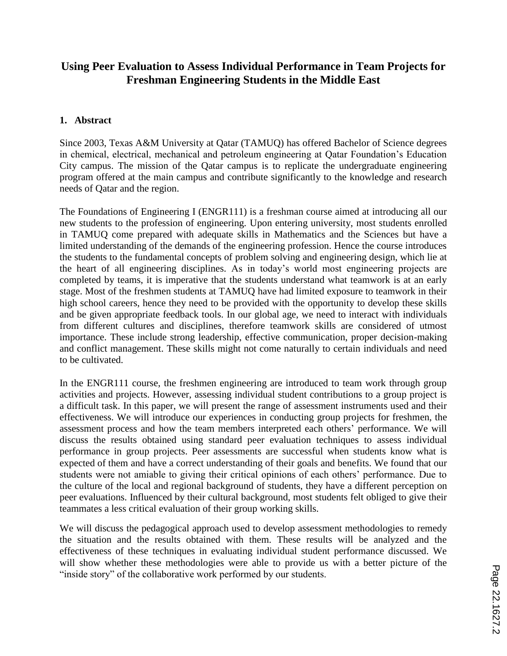# **Using Peer Evaluation to Assess Individual Performance in Team Projects for Freshman Engineering Students in the Middle East**

### **1. Abstract**

Since 2003, Texas A&M University at Qatar (TAMUQ) has offered Bachelor of Science degrees in chemical, electrical, mechanical and petroleum engineering at Qatar Foundation's Education City campus. The mission of the Qatar campus is to replicate the undergraduate engineering program offered at the main campus and contribute significantly to the knowledge and research needs of Qatar and the region.

The Foundations of Engineering I (ENGR111) is a freshman course aimed at introducing all our new students to the profession of engineering. Upon entering university, most students enrolled in TAMUQ come prepared with adequate skills in Mathematics and the Sciences but have a limited understanding of the demands of the engineering profession. Hence the course introduces the students to the fundamental concepts of problem solving and engineering design, which lie at the heart of all engineering disciplines. As in today's world most engineering projects are completed by teams, it is imperative that the students understand what teamwork is at an early stage. Most of the freshmen students at TAMUQ have had limited exposure to teamwork in their high school careers, hence they need to be provided with the opportunity to develop these skills and be given appropriate feedback tools. In our global age, we need to interact with individuals from different cultures and disciplines, therefore teamwork skills are considered of utmost importance. These include strong leadership, effective communication, proper decision-making and conflict management. These skills might not come naturally to certain individuals and need to be cultivated.

In the ENGR111 course, the freshmen engineering are introduced to team work through group activities and projects. However, assessing individual student contributions to a group project is a difficult task. In this paper, we will present the range of assessment instruments used and their effectiveness. We will introduce our experiences in conducting group projects for freshmen, the assessment process and how the team members interpreted each others' performance. We will discuss the results obtained using standard peer evaluation techniques to assess individual performance in group projects. Peer assessments are successful when students know what is expected of them and have a correct understanding of their goals and benefits. We found that our students were not amiable to giving their critical opinions of each others' performance. Due to the culture of the local and regional background of students, they have a different perception on peer evaluations. Influenced by their cultural background, most students felt obliged to give their teammates a less critical evaluation of their group working skills.

We will discuss the pedagogical approach used to develop assessment methodologies to remedy the situation and the results obtained with them. These results will be analyzed and the effectiveness of these techniques in evaluating individual student performance discussed. We will show whether these methodologies were able to provide us with a better picture of the "inside story" of the collaborative work performed by our students.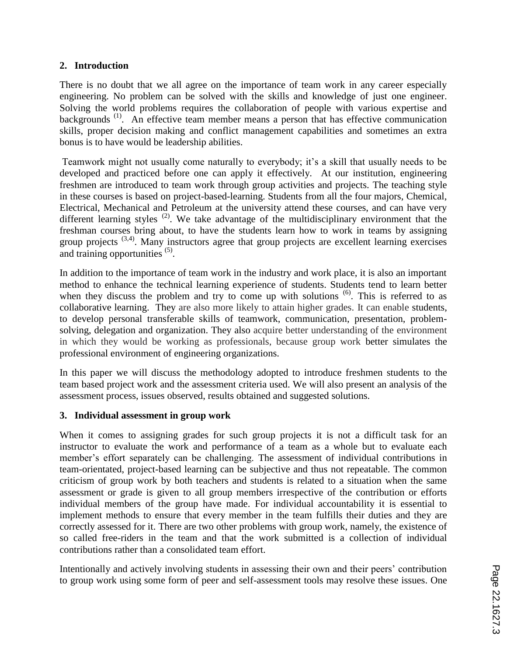### **2. Introduction**

There is no doubt that we all agree on the importance of team work in any career especially engineering. No problem can be solved with the skills and knowledge of just one engineer. Solving the world problems requires the collaboration of people with various expertise and backgrounds<sup>(1)</sup>. An effective team member means a person that has effective communication skills, proper decision making and conflict management capabilities and sometimes an extra bonus is to have would be leadership abilities.

Teamwork might not usually come naturally to everybody; it's a skill that usually needs to be developed and practiced before one can apply it effectively. At our institution, engineering freshmen are introduced to team work through group activities and projects. The teaching style in these courses is based on project-based-learning. Students from all the four majors, Chemical, Electrical, Mechanical and Petroleum at the university attend these courses, and can have very different learning styles  $(2)$ . We take advantage of the multidisciplinary environment that the freshman courses bring about, to have the students learn how to work in teams by assigning group projects  $(3,4)$ . Many instructors agree that group projects are excellent learning exercises and training opportunities  $(5)$ .

In addition to the importance of team work in the industry and work place, it is also an important method to enhance the technical learning experience of students. Students tend to learn better when they discuss the problem and try to come up with solutions  $(6)$ . This is referred to as collaborative learning. They are also more likely to attain higher grades. It can enable students, to develop personal transferable skills of teamwork, communication, presentation, problemsolving, delegation and organization. They also acquire better understanding of the environment in which they would be working as professionals, because group work better simulates the professional environment of engineering organizations.

In this paper we will discuss the methodology adopted to introduce freshmen students to the team based project work and the assessment criteria used. We will also present an analysis of the assessment process, issues observed, results obtained and suggested solutions.

#### **3. Individual assessment in group work**

When it comes to assigning grades for such group projects it is not a difficult task for an instructor to evaluate the work and performance of a team as a whole but to evaluate each member's effort separately can be challenging. The assessment of individual contributions in team-orientated, project-based learning can be subjective and thus not repeatable. The common criticism of group work by both teachers and students is related to a situation when the same assessment or grade is given to all group members irrespective of the contribution or efforts individual members of the group have made. For individual accountability it is essential to implement methods to ensure that every member in the team fulfills their duties and they are correctly assessed for it. There are two other problems with group work, namely, the existence of so called free-riders in the team and that the work submitted is a collection of individual contributions rather than a consolidated team effort.

Intentionally and actively involving students in assessing their own and their peers' contribution to group work using some form of peer and self-assessment tools may resolve these issues. One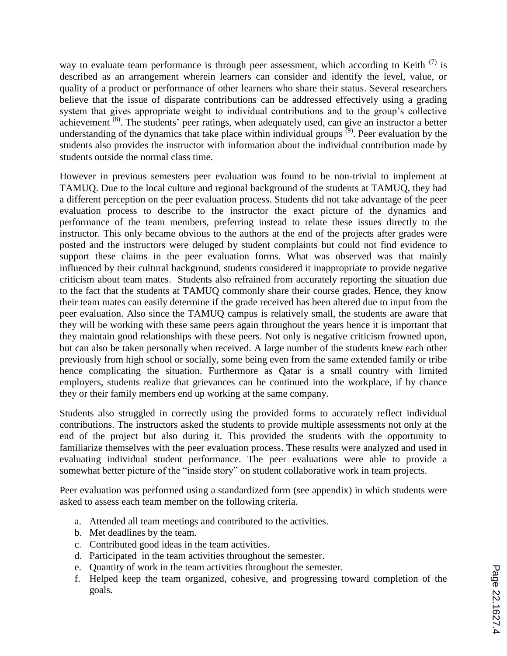way to evaluate team performance is through peer assessment, which according to Keith  $(7)$  is described as an arrangement wherein learners can consider and identify the level, value, or quality of a product or performance of other learners who share their status. Several researchers believe that the issue of disparate contributions can be addressed effectively using a grading system that gives appropriate weight to individual contributions and to the group's collective achievement  $(8)$ . The students' peer ratings, when adequately used, can give an instructor a better understanding of the dynamics that take place within individual groups  $(9)$ . Peer evaluation by the students also provides the instructor with information about the individual contribution made by students outside the normal class time.

However in previous semesters peer evaluation was found to be non-trivial to implement at TAMUQ. Due to the local culture and regional background of the students at TAMUQ, they had a different perception on the peer evaluation process. Students did not take advantage of the peer evaluation process to describe to the instructor the exact picture of the dynamics and performance of the team members, preferring instead to relate these issues directly to the instructor. This only became obvious to the authors at the end of the projects after grades were posted and the instructors were deluged by student complaints but could not find evidence to support these claims in the peer evaluation forms. What was observed was that mainly influenced by their cultural background, students considered it inappropriate to provide negative criticism about team mates. Students also refrained from accurately reporting the situation due to the fact that the students at TAMUQ commonly share their course grades. Hence, they know their team mates can easily determine if the grade received has been altered due to input from the peer evaluation. Also since the TAMUQ campus is relatively small, the students are aware that they will be working with these same peers again throughout the years hence it is important that they maintain good relationships with these peers. Not only is negative criticism frowned upon, but can also be taken personally when received. A large number of the students knew each other previously from high school or socially, some being even from the same extended family or tribe hence complicating the situation. Furthermore as Qatar is a small country with limited employers, students realize that grievances can be continued into the workplace, if by chance they or their family members end up working at the same company.

Students also struggled in correctly using the provided forms to accurately reflect individual contributions. The instructors asked the students to provide multiple assessments not only at the end of the project but also during it. This provided the students with the opportunity to familiarize themselves with the peer evaluation process. These results were analyzed and used in evaluating individual student performance. The peer evaluations were able to provide a somewhat better picture of the "inside story" on student collaborative work in team projects.

Peer evaluation was performed using a standardized form (see appendix) in which students were asked to assess each team member on the following criteria.

- a. Attended all team meetings and contributed to the activities.
- b. Met deadlines by the team.
- c. Contributed good ideas in the team activities.
- d. Participated in the team activities throughout the semester.
- e. Quantity of work in the team activities throughout the semester.
- f. Helped keep the team organized, cohesive, and progressing toward completion of the goals.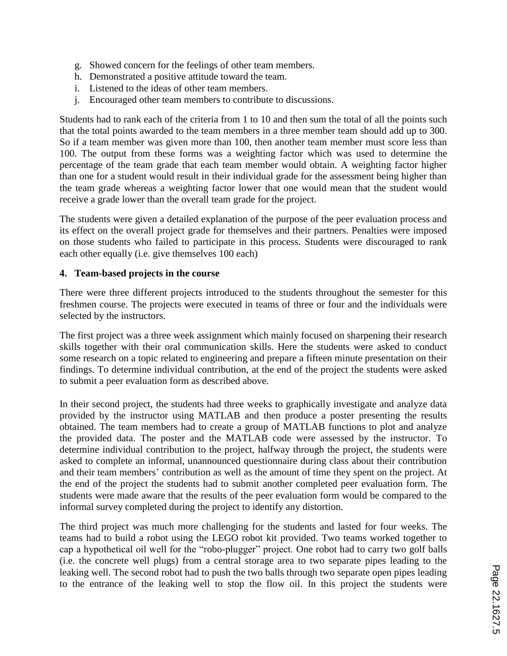- g. Showed concern for the feelings of other team members.
- h. Demonstrated a positive attitude toward the team.
- i. Listened to the ideas of other team members.
- j. Encouraged other team members to contribute to discussions.

Students had to rank each of the criteria from 1 to 10 and then sum the total of all the points such that the total points awarded to the team members in a three member team should add up to 300. So if a team member was given more than 100, then another team member must score less than 100. The output from these forms was a weighting factor which was used to determine the percentage of the team grade that each team member would obtain. A weighting factor higher than one for a student would result in their individual grade for the assessment being higher than the team grade whereas a weighting factor lower that one would mean that the student would receive a grade lower than the overall team grade for the project.

The students were given a detailed explanation of the purpose of the peer evaluation process and its effect on the overall project grade for themselves and their partners. Penalties were imposed on those students who failed to participate in this process. Students were discouraged to rank each other equally (i.e. give themselves 100 each)

#### **4. Team-based projects in the course**

There were three different projects introduced to the students throughout the semester for this freshmen course. The projects were executed in teams of three or four and the individuals were selected by the instructors.

The first project was a three week assignment which mainly focused on sharpening their research skills together with their oral communication skills. Here the students were asked to conduct some research on a topic related to engineering and prepare a fifteen minute presentation on their findings. To determine individual contribution, at the end of the project the students were asked to submit a peer evaluation form as described above.

In their second project, the students had three weeks to graphically investigate and analyze data provided by the instructor using MATLAB and then produce a poster presenting the results obtained. The team members had to create a group of MATLAB functions to plot and analyze the provided data. The poster and the MATLAB code were assessed by the instructor. To determine individual contribution to the project, halfway through the project, the students were asked to complete an informal, unannounced questionnaire during class about their contribution and their team members' contribution as well as the amount of time they spent on the project. At the end of the project the students had to submit another completed peer evaluation form. The students were made aware that the results of the peer evaluation form would be compared to the informal survey completed during the project to identify any distortion.

The third project was much more challenging for the students and lasted for four weeks. The teams had to build a robot using the LEGO robot kit provided. Two teams worked together to cap a hypothetical oil well for the "robo-plugger" project. One robot had to carry two golf balls (i.e. the concrete well plugs) from a central storage area to two separate pipes leading to the leaking well. The second robot had to push the two balls through two separate open pipes leading to the entrance of the leaking well to stop the flow oil. In this project the students were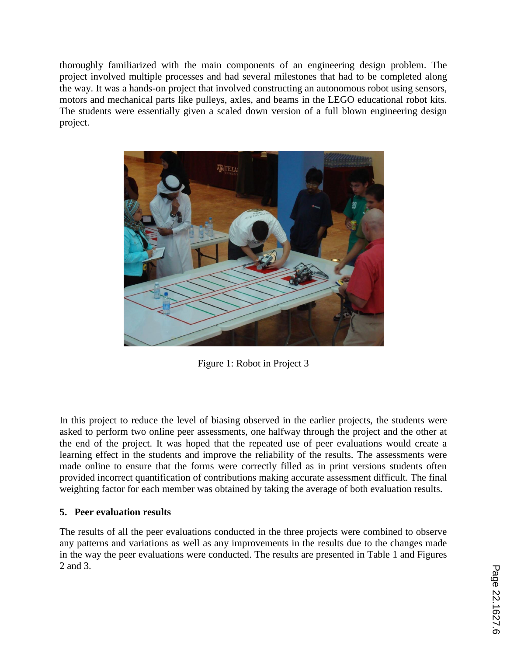thoroughly familiarized with the main components of an engineering design problem. The project involved multiple processes and had several milestones that had to be completed along the way. It was a hands-on project that involved constructing an autonomous robot using sensors, motors and mechanical parts like pulleys, axles, and beams in the LEGO educational robot kits. The students were essentially given a scaled down version of a full blown engineering design project.



Figure 1: Robot in Project 3

In this project to reduce the level of biasing observed in the earlier projects, the students were asked to perform two online peer assessments, one halfway through the project and the other at the end of the project. It was hoped that the repeated use of peer evaluations would create a learning effect in the students and improve the reliability of the results. The assessments were made online to ensure that the forms were correctly filled as in print versions students often provided incorrect quantification of contributions making accurate assessment difficult. The final weighting factor for each member was obtained by taking the average of both evaluation results.

## **5. Peer evaluation results**

The results of all the peer evaluations conducted in the three projects were combined to observe any patterns and variations as well as any improvements in the results due to the changes made in the way the peer evaluations were conducted. The results are presented in Table 1 and Figures 2 and 3.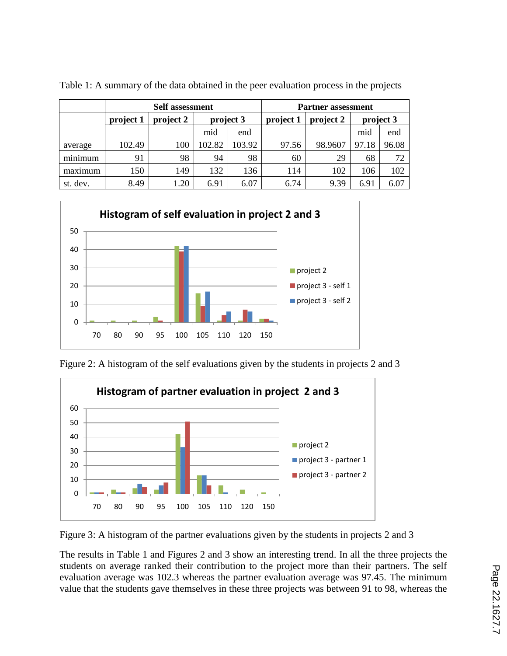|                            | <b>Self assessment</b> |           |           |        | <b>Partner assessment</b> |           |           |       |
|----------------------------|------------------------|-----------|-----------|--------|---------------------------|-----------|-----------|-------|
|                            | project 1              | project 2 | project 3 |        | project 1                 | project 2 | project 3 |       |
|                            |                        |           | mid       | end    |                           |           | mid       | end   |
| average                    | 102.49                 | 100       | 102.82    | 103.92 | 97.56                     | 98.9607   | 97.18     | 96.08 |
| $\cdot$ $\cdot$<br>minimum | 91                     | 98        | 94        | 98     | 60                        | 29        | 68        | 72    |
| maximum                    | 150                    | 149       | 132       | 136    | 114                       | 102       | 106       | 102   |
| st. dev.                   | 8.49                   | 1.20      | 6.91      | 6.07   | 6.74                      | 9.39      | 6.91      | 6.07  |

Table 1: A summary of the data obtained in the peer evaluation process in the projects



Figure 2: A histogram of the self evaluations given by the students in projects 2 and 3



Figure 3: A histogram of the partner evaluations given by the students in projects 2 and 3

The results in Table 1 and Figures 2 and 3 show an interesting trend. In all the three projects the students on average ranked their contribution to the project more than their partners. The self evaluation average was 102.3 whereas the partner evaluation average was 97.45. The minimum value that the students gave themselves in these three projects was between 91 to 98, whereas the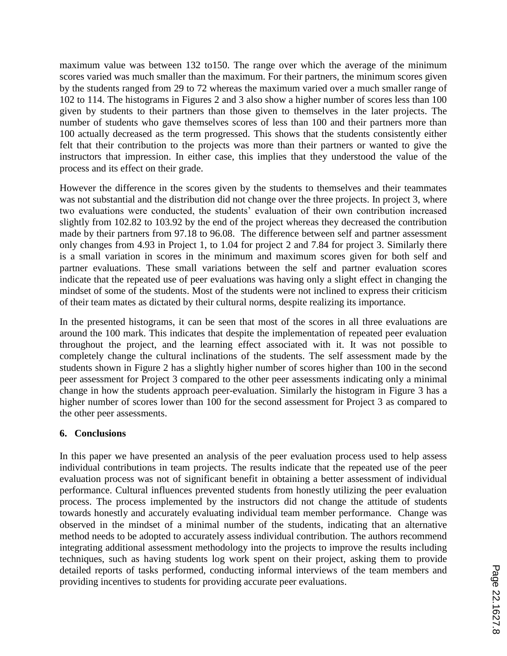maximum value was between 132 to150. The range over which the average of the minimum scores varied was much smaller than the maximum. For their partners, the minimum scores given by the students ranged from 29 to 72 whereas the maximum varied over a much smaller range of 102 to 114. The histograms in Figures 2 and 3 also show a higher number of scores less than 100 given by students to their partners than those given to themselves in the later projects. The number of students who gave themselves scores of less than 100 and their partners more than 100 actually decreased as the term progressed. This shows that the students consistently either felt that their contribution to the projects was more than their partners or wanted to give the instructors that impression. In either case, this implies that they understood the value of the process and its effect on their grade.

However the difference in the scores given by the students to themselves and their teammates was not substantial and the distribution did not change over the three projects. In project 3, where two evaluations were conducted, the students' evaluation of their own contribution increased slightly from 102.82 to 103.92 by the end of the project whereas they decreased the contribution made by their partners from 97.18 to 96.08. The difference between self and partner assessment only changes from 4.93 in Project 1, to 1.04 for project 2 and 7.84 for project 3. Similarly there is a small variation in scores in the minimum and maximum scores given for both self and partner evaluations. These small variations between the self and partner evaluation scores indicate that the repeated use of peer evaluations was having only a slight effect in changing the mindset of some of the students. Most of the students were not inclined to express their criticism of their team mates as dictated by their cultural norms, despite realizing its importance.

In the presented histograms, it can be seen that most of the scores in all three evaluations are around the 100 mark. This indicates that despite the implementation of repeated peer evaluation throughout the project, and the learning effect associated with it. It was not possible to completely change the cultural inclinations of the students. The self assessment made by the students shown in Figure 2 has a slightly higher number of scores higher than 100 in the second peer assessment for Project 3 compared to the other peer assessments indicating only a minimal change in how the students approach peer-evaluation. Similarly the histogram in Figure 3 has a higher number of scores lower than 100 for the second assessment for Project 3 as compared to the other peer assessments.

#### **6. Conclusions**

In this paper we have presented an analysis of the peer evaluation process used to help assess individual contributions in team projects. The results indicate that the repeated use of the peer evaluation process was not of significant benefit in obtaining a better assessment of individual performance. Cultural influences prevented students from honestly utilizing the peer evaluation process. The process implemented by the instructors did not change the attitude of students towards honestly and accurately evaluating individual team member performance. Change was observed in the mindset of a minimal number of the students, indicating that an alternative method needs to be adopted to accurately assess individual contribution. The authors recommend integrating additional assessment methodology into the projects to improve the results including techniques, such as having students log work spent on their project, asking them to provide detailed reports of tasks performed, conducting informal interviews of the team members and providing incentives to students for providing accurate peer evaluations.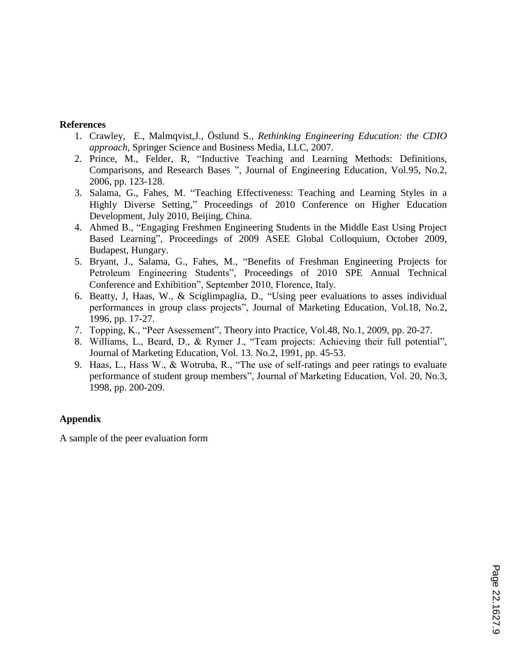### **References**

- 1. Crawley, E., Malmqvist,J., Östlund S., *Rethinking Engineering Education: the CDIO approach*, Springer Science and Business Media, LLC, 2007.
- 2. Prince, M., Felder, R, "Inductive Teaching and Learning Methods: Definitions, Comparisons, and Research Bases ", Journal of Engineering Education, Vol.95, No.2, 2006, pp. 123-128.
- 3. Salama, G., Fahes, M. "Teaching Effectiveness: Teaching and Learning Styles in a Highly Diverse Setting," Proceedings of 2010 Conference on Higher Education Development, July 2010, Beijing, China.
- 4. Ahmed B., "Engaging Freshmen Engineering Students in the Middle East Using Project Based Learning", Proceedings of 2009 ASEE Global Colloquium, October 2009, Budapest, Hungary.
- 5. Bryant, J., Salama, G., Fahes, M., "Benefits of Freshman Engineering Projects for Petroleum Engineering Students", Proceedings of 2010 SPE Annual Technical Conference and Exhibition", September 2010, Florence, Italy.
- 6. Beatty, J, Haas, W., & Sciglimpaglia, D., "Using peer evaluations to asses individual performances in group class projects", Journal of Marketing Education, Vol.18, No.2, 1996, pp. 17-27.
- 7. Topping, K., "Peer Asessement", Theory into Practice, Vol.48, No.1, 2009, pp. 20-27.
- 8. Williams, L., Beard, D., & Rymer J., "Team projects: Achieving their full potential", Journal of Marketing Education, Vol. 13. No.2, 1991, pp. 45-53.
- 9. Haas, L., Hass W., & Wotruba, R., "The use of self-ratings and peer ratings to evaluate performance of student group members", Journal of Marketing Education, Vol. 20, No.3, 1998, pp. 200-209.

# **Appendix**

A sample of the peer evaluation form